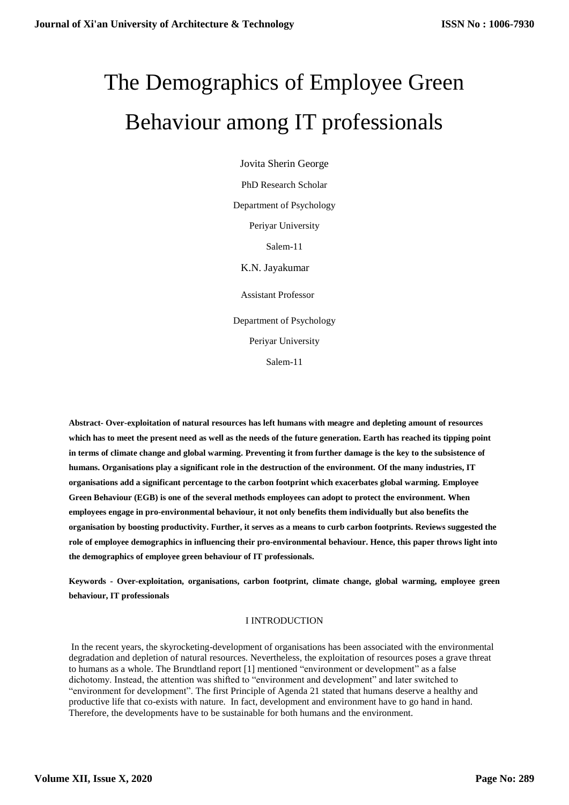# The Demographics of Employee Green Behaviour among IT professionals

Jovita Sherin George PhD Research Scholar

Department of Psychology

Periyar University

Salem-11

K.N. Jayakumar

Assistant Professor

Department of Psychology

Periyar University

Salem-11

**Abstract- Over-exploitation of natural resources has left humans with meagre and depleting amount of resources which has to meet the present need as well as the needs of the future generation. Earth has reached its tipping point in terms of climate change and global warming. Preventing it from further damage is the key to the subsistence of humans. Organisations play a significant role in the destruction of the environment. Of the many industries, IT organisations add a significant percentage to the carbon footprint which exacerbates global warming. Employee Green Behaviour (EGB) is one of the several methods employees can adopt to protect the environment. When employees engage in pro-environmental behaviour, it not only benefits them individually but also benefits the organisation by boosting productivity. Further, it serves as a means to curb carbon footprints. Reviews suggested the role of employee demographics in influencing their pro-environmental behaviour. Hence, this paper throws light into the demographics of employee green behaviour of IT professionals.**

**Keywords - Over-exploitation, organisations, carbon footprint, climate change, global warming, employee green behaviour, IT professionals**

## I INTRODUCTION

In the recent years, the skyrocketing-development of organisations has been associated with the environmental degradation and depletion of natural resources. Nevertheless, the exploitation of resources poses a grave threat to humans as a whole. The Brundtland report [1] mentioned "environment or development" as a false dichotomy. Instead, the attention was shifted to "environment and development" and later switched to "environment for development". The first Principle of Agenda 21 stated that humans deserve a healthy and productive life that co-exists with nature. In fact, development and environment have to go hand in hand. Therefore, the developments have to be sustainable for both humans and the environment.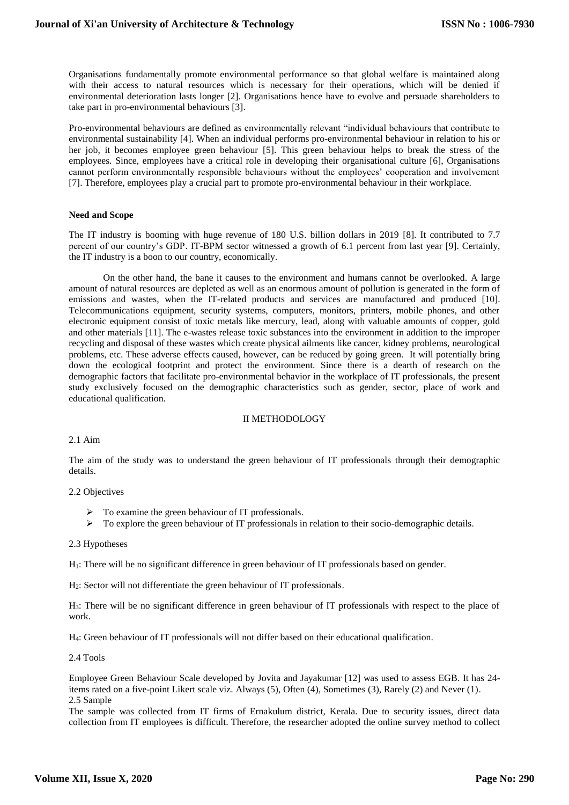Organisations fundamentally promote environmental performance so that global welfare is maintained along with their access to natural resources which is necessary for their operations, which will be denied if environmental deterioration lasts longer [2]. Organisations hence have to evolve and persuade shareholders to take part in pro-environmental behaviours [3].

Pro-environmental behaviours are defined as environmentally relevant "individual behaviours that contribute to environmental sustainability [4]. When an individual performs pro-environmental behaviour in relation to his or her job, it becomes employee green behaviour [5]. This green behaviour helps to break the stress of the employees. Since, employees have a critical role in developing their organisational culture [6], Organisations cannot perform environmentally responsible behaviours without the employees' cooperation and involvement [7]. Therefore, employees play a crucial part to promote pro-environmental behaviour in their workplace.

#### **Need and Scope**

The IT industry is booming with huge revenue of 180 U.S. billion dollars in 2019 [8]. It contributed to 7.7 percent of our country's GDP. IT-BPM sector witnessed a growth of 6.1 percent from last year [9]. Certainly, the IT industry is a boon to our country, economically.

On the other hand, the bane it causes to the environment and humans cannot be overlooked. A large amount of natural resources are depleted as well as an enormous amount of pollution is generated in the form of emissions and wastes, when the IT-related products and services are manufactured and produced [10]. Telecommunications equipment, security systems, computers, monitors, printers, mobile phones, and other electronic equipment consist of toxic metals like mercury, lead, along with valuable amounts of copper, gold and other materials [11]. The e-wastes release toxic substances into the environment in addition to the improper recycling and disposal of these wastes which create physical ailments like cancer, kidney problems, neurological problems, etc. These adverse effects caused, however, can be reduced by going green. It will potentially bring down the ecological footprint and protect the environment. Since there is a dearth of research on the demographic factors that facilitate pro-environmental behavior in the workplace of IT professionals, the present study exclusively focused on the demographic characteristics such as gender, sector, place of work and educational qualification.

## II METHODOLOGY

## 2.1 Aim

The aim of the study was to understand the green behaviour of IT professionals through their demographic details.

2.2 Objectives

- $\triangleright$  To examine the green behaviour of IT professionals.
- $\triangleright$  To explore the green behaviour of IT professionals in relation to their socio-demographic details.

## 2.3 Hypotheses

H1: There will be no significant difference in green behaviour of IT professionals based on gender.

H2: Sector will not differentiate the green behaviour of IT professionals.

H3: There will be no significant difference in green behaviour of IT professionals with respect to the place of work.

H4: Green behaviour of IT professionals will not differ based on their educational qualification.

2.4 Tools

Employee Green Behaviour Scale developed by Jovita and Jayakumar [12] was used to assess EGB. It has 24 items rated on a five-point Likert scale viz. Always (5), Often (4), Sometimes (3), Rarely (2) and Never (1). 2.5 Sample

The sample was collected from IT firms of Ernakulum district, Kerala. Due to security issues, direct data collection from IT employees is difficult. Therefore, the researcher adopted the online survey method to collect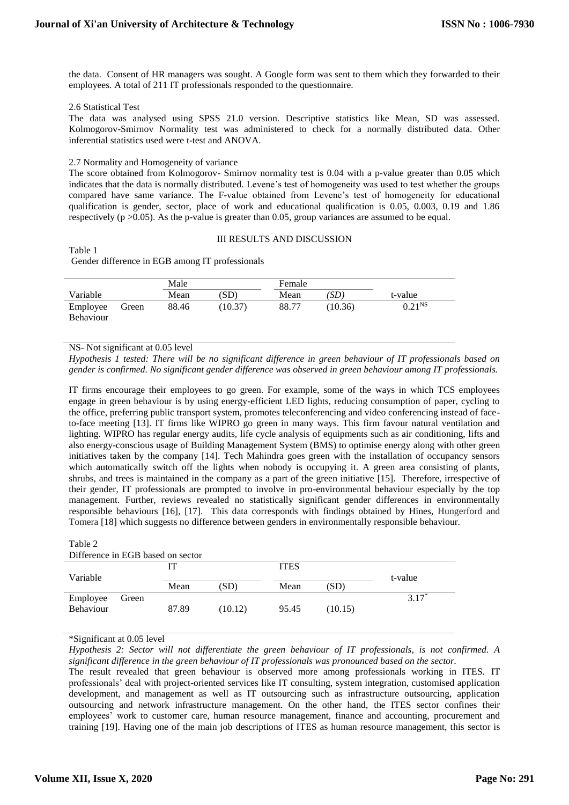the data. Consent of HR managers was sought. A Google form was sent to them which they forwarded to their employees. A total of 211 IT professionals responded to the questionnaire.

### 2.6 Statistical Test

The data was analysed using SPSS 21.0 version. Descriptive statistics like Mean, SD was assessed. Kolmogorov-Smirnov Normality test was administered to check for a normally distributed data. Other inferential statistics used were t-test and ANOVA.

### 2.7 Normality and Homogeneity of variance

The score obtained from Kolmogorov- Smirnov normality test is 0.04 with a p-value greater than 0.05 which indicates that the data is normally distributed. Levene's test of homogeneity was used to test whether the groups compared have same variance. The F-value obtained from Levene's test of homogeneity for educational qualification is gender, sector, place of work and educational qualification is 0.05, 0.003, 0.19 and 1.86 respectively ( $p > 0.05$ ). As the p-value is greater than 0.05, group variances are assumed to be equal.

#### III RESULTS AND DISCUSSION

Table 1 Gender difference in EGB among IT professionals

|                       |       | Male  |         | Female |         |                    |
|-----------------------|-------|-------|---------|--------|---------|--------------------|
| Variable              |       | Mean  | .SD     | Mean   | $SD^+$  | t-value            |
| Employee<br>Behaviour | Green | 88.46 | (10.37) | 88.77  | (10.36) | 0.21 <sup>NS</sup> |

## NS- Not significant at 0.05 level

*Hypothesis 1 tested: There will be no significant difference in green behaviour of IT professionals based on gender is confirmed. No significant gender difference was observed in green behaviour among IT professionals.*

IT firms encourage their employees to go green. For example, some of the ways in which TCS employees engage in green behaviour is by using energy-efficient LED lights, reducing consumption of paper, cycling to the office, preferring public transport system, promotes teleconferencing and video conferencing instead of faceto-face meeting [13]. IT firms like WIPRO go green in many ways. This firm favour natural ventilation and lighting. WIPRO has regular energy audits, life cycle analysis of equipments such as air conditioning, lifts and also energy-conscious usage of Building Management System (BMS) to optimise energy along with other green initiatives taken by the company [14]. Tech Mahindra goes green with the installation of occupancy sensors which automatically switch off the lights when nobody is occupying it. A green area consisting of plants, shrubs, and trees is maintained in the company as a part of the green initiative [15]. Therefore, irrespective of their gender, IT professionals are prompted to involve in pro-environmental behaviour especially by the top management. Further, reviews revealed no statistically significant gender differences in environmentally responsible behaviours [16], [17]. This data corresponds with findings obtained by Hines, Hungerford and Tomera [18] which suggests no difference between genders in environmentally responsible behaviour.

#### Table 2

| Difference in EGB based on sector |       |       |         |             |         |         |  |
|-----------------------------------|-------|-------|---------|-------------|---------|---------|--|
|                                   |       | IТ    |         | <b>ITES</b> |         |         |  |
| Variable                          |       |       |         |             |         | t-value |  |
|                                   |       | Mean  | (SD     | Mean        | (SD)    |         |  |
| Employee                          | Green |       |         |             |         | $3.17*$ |  |
| <b>Behaviour</b>                  |       | 87.89 | (10.12) | 95.45       | (10.15) |         |  |

## \*Significant at 0.05 level

*Hypothesis 2: Sector will not differentiate the green behaviour of IT professionals, is not confirmed. A significant difference in the green behaviour of IT professionals was pronounced based on the sector.* The result revealed that green behaviour is observed more among professionals working in ITES. IT professionals' deal with project-oriented services like IT consulting, system integration, customised application development, and management as well as IT outsourcing such as infrastructure outsourcing, application outsourcing and network infrastructure management. On the other hand, the ITES sector confines their employees' work to customer care, human resource management, finance and accounting, procurement and training [19]. Having one of the main job descriptions of ITES as human resource management, this sector is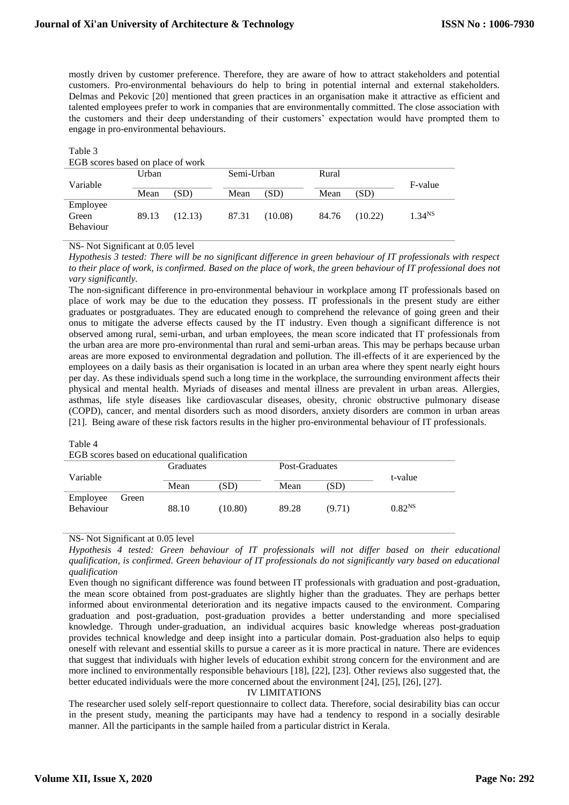mostly driven by customer preference. Therefore, they are aware of how to attract stakeholders and potential customers. Pro-environmental behaviours do help to bring in potential internal and external stakeholders. Delmas and Pekovic [20] mentioned that green practices in an organisation make it attractive as efficient and talented employees prefer to work in companies that are environmentally committed. The close association with the customers and their deep understanding of their customers' expectation would have prompted them to engage in pro-environmental behaviours.

Table 3

EGB scores based on place of work

| LOD SCOTES DASCU OII DIACC OI WOTN |       |         |            |         |       |         |                    |
|------------------------------------|-------|---------|------------|---------|-------|---------|--------------------|
| Variable                           | Urban |         | Semi-Urban |         | Rural |         | F-value            |
|                                    | Mean  | (SD)    | Mean       | (SD)    | Mean  | (SD)    |                    |
| Employee<br>Green<br>Behaviour     | 89.13 | (12.13) | 87.31      | (10.08) | 84.76 | (10.22) | 1.34 <sup>NS</sup> |

## NS- Not Significant at 0.05 level

*Hypothesis 3 tested: There will be no significant difference in green behaviour of IT professionals with respect to their place of work, is confirmed. Based on the place of work, the green behaviour of IT professional does not vary significantly.*

The non-significant difference in pro-environmental behaviour in workplace among IT professionals based on place of work may be due to the education they possess. IT professionals in the present study are either graduates or postgraduates. They are educated enough to comprehend the relevance of going green and their onus to mitigate the adverse effects caused by the IT industry. Even though a significant difference is not observed among rural, semi-urban, and urban employees, the mean score indicated that IT professionals from the urban area are more pro-environmental than rural and semi-urban areas. This may be perhaps because urban areas are more exposed to environmental degradation and pollution. The ill-effects of it are experienced by the employees on a daily basis as their organisation is located in an urban area where they spent nearly eight hours per day. As these individuals spend such a long time in the workplace, the surrounding environment affects their physical and mental health. Myriads of diseases and mental illness are prevalent in urban areas. Allergies, asthmas, life style diseases like cardiovascular diseases, obesity, chronic obstructive pulmonary disease (COPD), cancer, and mental disorders such as mood disorders, anxiety disorders are common in urban areas [21]. Being aware of these risk factors results in the higher pro-environmental behaviour of IT professionals.

t-value

#### Table 4

Employee Green

| EGB scores based on educational qualification |                  |                |
|-----------------------------------------------|------------------|----------------|
|                                               | <b>Graduates</b> | Post-Graduates |
| Variable                                      |                  |                |

NS- Not Significant at 0.05 level *Hypothesis 4 tested: Green behaviour of IT professionals will not differ based on their educational qualification, is confirmed. Green behaviour of IT professionals do not significantly vary based on educational qualification*

Mean (SD) Mean (SD)

Behaviour 88.10 (10.80) 89.28 (9.71) 0.82<sup>NS</sup>

Even though no significant difference was found between IT professionals with graduation and post-graduation, the mean score obtained from post-graduates are slightly higher than the graduates. They are perhaps better informed about environmental deterioration and its negative impacts caused to the environment. Comparing graduation and post-graduation, post-graduation provides a better understanding and more specialised knowledge. Through under-graduation, an individual acquires basic knowledge whereas post-graduation provides technical knowledge and deep insight into a particular domain. Post-graduation also helps to equip oneself with relevant and essential skills to pursue a career as it is more practical in nature. There are evidences that suggest that individuals with higher levels of education exhibit strong concern for the environment and are more inclined to environmentally responsible behaviours [18], [22], [23]. Other reviews also suggested that, the better educated individuals were the more concerned about the environment [24], [25], [26], [27].

#### IV LIMITATIONS

The researcher used solely self-report questionnaire to collect data. Therefore, social desirability bias can occur in the present study, meaning the participants may have had a tendency to respond in a socially desirable manner. All the participants in the sample hailed from a particular district in Kerala.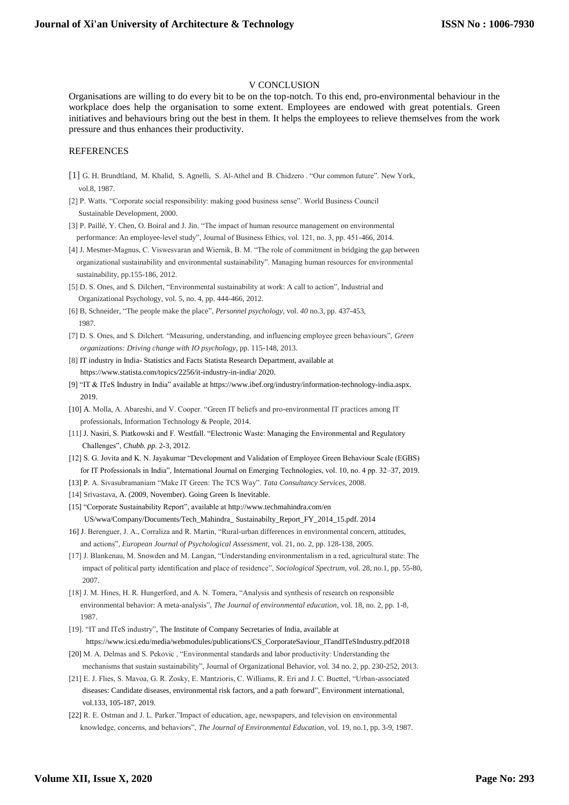#### V CONCLUSION

Organisations are willing to do every bit to be on the top-notch. To this end, pro-environmental behaviour in the workplace does help the organisation to some extent. Employees are endowed with great potentials. Green initiatives and behaviours bring out the best in them. It helps the employees to relieve themselves from the work pressure and thus enhances their productivity.

## **REFERENCES**

- [1] G. H. Brundtland, M. Khalid, S. Agnelli, S. Al-Athel and B. Chidzero . "Our common future". New York, vol.8, 1987.
- [2] P. Watts. "Corporate social responsibility: making good business sense". World Business Council Sustainable Development, 2000.
- [3] P. Paillé, Y. Chen, O. Boiral and J. Jin. "The impact of human resource management on environmental performance: An employee-level study", Journal of Business Ethics, vol. 121, no. 3, pp. 451-466, 2014.
- [4] J. Mesmer-Magnus, C. Viswesvaran and Wiernik, B. M. "The role of commitment in bridging the gap between organizational sustainability and environmental sustainability". Managing human resources for environmental sustainability, pp.155-186, 2012.
- [5] D. S. Ones, and S. Dilchert, "Environmental sustainability at work: A call to action", Industrial and Organizational Psychology, vol. 5, no. 4, pp. 444-466, 2012.
- [6] B, Schneider, "The people make the place", *Personnel psychology*, vol. *40* no.3, pp. 437-453, 1987.
- [7] D. S. Ones, and S. Dilchert. "Measuring, understanding, and influencing employee green behaviours", *Green organizations: Driving change with IO psychology*, pp. 115-148, 2013.
- [8] IT industry in India- Statistics and Facts Statista Research Department, available at <https://www.statista.com/topics/2256/it-industry-in-india/> 2020.
- [9] "IT & ITeS Industry in India" available at https://www.ibef.org/industry/information-technology-india.aspx. 2019.
- [10] A. Molla, A. Abareshi, and V. Cooper. "Green IT beliefs and pro-environmental IT practices among IT professionals, Information Technology & People, 2014.
- [11] J. Nasiri, S. Piatkowski and F. Westfall. "Electronic Waste: Managing the Environmental and Regulatory Challenges", *Chubb. pp.* 2-3, 2012.
- [12] S. G. Jovita and K. N. Jayakumar "Development and Validation of Employee Green Behaviour Scale (EGBS) for IT Professionals in India", International Journal on Emerging Technologies, vol. 10, no. 4 pp. 32–37, 2019.
- [13] P. A. Sivasubramaniam "Make IT Green: The TCS Way". *Tata Consultancy Services*, 2008.
- [14] Srivastava, A. (2009, November). Going Green Is Inevitable.

[15] "Corporate Sustainability Report", available at [http://www.techmahindra.com/en](http://www.techmahindra.com/en%20US/wwa/Company/Documents/Tech_Mahindra_%20Sustainabilty_Report_FY_2014_15.pdf.%202014)  US/wwa/Company/Documents/Tech\_Mahindra\_ Sustainabilty\_Report\_FY\_2014\_15.pdf. 2014

- 16] J. Berenguer, J. A., Corraliza and R. Martin, "Rural-urban differences in environmental concern, attitudes, and actions", *European Journal of Psychological Assessment*, vol. 21, no. 2, pp. 128-138, 2005.
- [17] J. Blankenau, M. Snowden and M. Langan, "Understanding environmentalism in a red, agricultural state: The impact of political party identification and place of residence", *Sociological Spectrum*, vol. 28, no.1, pp. 55-80, 2007.
- [18] J. M. Hines, H. R. Hungerford, and A. N. Tomera, "Analysis and synthesis of research on responsible environmental behavior: A meta-analysis", *The Journal of environmental education*, vol. 18, no. 2, pp. 1-8, 1987.
- [19]. "IT and ITeS industry", The Institute of Company Secretaries of India, available at [https://www.icsi.edu/media/webmodules/publications/CS\\_CorporateSaviour\\_ITandITeSIndustry.pdf2018](https://www.icsi.edu/media/webmodules/publications/CS_CorporateSaviour_ITandITeSIndustry.pdf2018)
- [20] M. A. Delmas and S. Pekovic , "Environmental standards and labor productivity: Understanding the mechanisms that sustain sustainability", Journal of Organizational Behavior, vol. 34 no. 2, pp. 230-252, 2013.
- [21] E. J. Flies, S. Mavoa, G. R. Zosky, E. Mantzioris, C. Williams, R. Eri and J. C. Buettel, "Urban-associated diseases: Candidate diseases, environmental risk factors, and a path forward", Environment international, vol.133, 105-187, 2019.
- [22] R. E. Ostman and J. L. Parker."Impact of education, age, newspapers, and television on environmental knowledge, concerns, and behaviors", *The Journal of Environmental Education*, vol. 19*,* no.1, pp. 3-9, 1987.